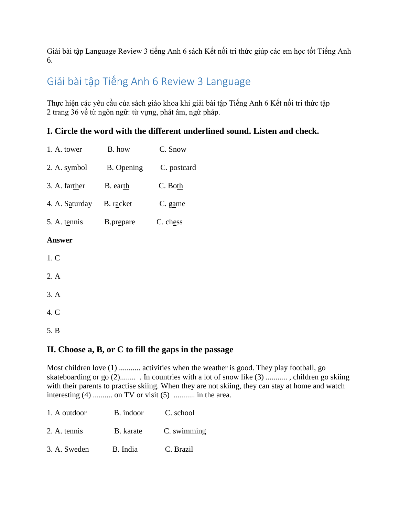Giải bài tập Language Review 3 tiếng Anh 6 sách Kết nối tri thức giúp các em học tốt Tiếng Anh 6.

# Giải bài tập Tiếng Anh 6 Review 3 Language

Thực hiện các yêu cầu của sách giáo khoa khi giải bài tập Tiếng Anh 6 Kết nối tri thức tập 2 trang 36 về từ ngôn ngữ: từ vựng, phát âm, ngữ pháp.

## **I. Circle the word with the different underlined sound. Listen and check.**

| 1. A. to <u>w</u> er     | B. how     | C. Snow     |
|--------------------------|------------|-------------|
| 2. A. symbol             | B. Opening | C. postcard |
| 3. A. farther            | B. earth   | C. Both     |
| 4. A. Saturday B. racket |            | C. game     |
| 5. A. tennis             | B.prepare  | C. chess    |
| <b>Answer</b>            |            |             |
| 1.C                      |            |             |
| 2. A                     |            |             |
| 3. A                     |            |             |
| 4. C                     |            |             |
| 5. B                     |            |             |

# **II. Choose a, B, or C to fill the gaps in the passage**

Most children love (1) ........... activities when the weather is good. They play football, go skateboarding or go (2)........ . In countries with a lot of snow like (3) ........... , children go skiing with their parents to practise skiing. When they are not skiing, they can stay at home and watch interesting (4) .......... on TV or visit (5) ........... in the area.

| 1. A outdoor | B. indoor | C. school   |
|--------------|-----------|-------------|
| 2. A. tennis | B. karate | C. swimming |
| 3. A. Sweden | B. India  | C. Brazil   |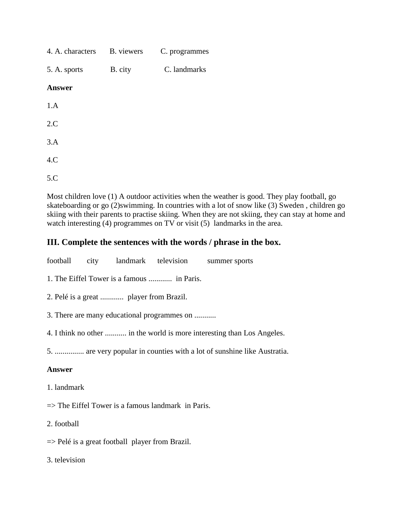| 4. A. characters B. viewers |         | C. programmes |
|-----------------------------|---------|---------------|
| 5. A. sports                | B. city | C. landmarks  |
| <b>Answer</b>               |         |               |
| 1.A                         |         |               |
| 2.C                         |         |               |
| 3.A                         |         |               |
| 4.C                         |         |               |
| 5.C                         |         |               |

Most children love (1) A outdoor activities when the weather is good. They play football, go skateboarding or go (2)swimming. In countries with a lot of snow like (3) Sweden , children go skiing with their parents to practise skiing. When they are not skiing, they can stay at home and watch interesting (4) programmes on TV or visit (5) landmarks in the area.

## **III. Complete the sentences with the words / phrase in the box.**

football city landmark television summer sports 1. The Eiffel Tower is a famous ............ in Paris. 2. Pelé is a great ............ player from Brazil. 3. There are many educational programmes on ........... 4. I think no other ........... in the world is more interesting than Los Angeles. 5. ............... are very popular in counties with a lot of sunshine like Austratia. **Answer** 1. landmark  $\Rightarrow$  The Eiffel Tower is a famous landmark in Paris.

2. football

 $\Rightarrow$  Pelé is a great football player from Brazil.

3. television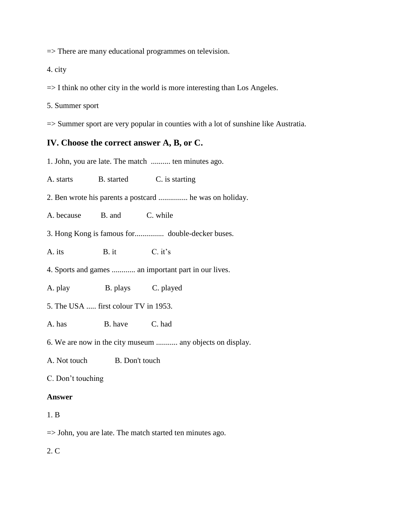=> There are many educational programmes on television.

4. city

 $\Rightarrow$  I think no other city in the world is more interesting than Los Angeles.

5. Summer sport

=> Summer sport are very popular in counties with a lot of sunshine like Austratia.

#### **IV. Choose the correct answer A, B, or C.**

1. John, you are late. The match .......... ten minutes ago.

A. starts B. started C. is starting

2. Ben wrote his parents a postcard ............... he was on holiday.

A. because B. and C. while

3. Hong Kong is famous for............... double-decker buses.

A. its B. it C. it's

4. Sports and games ............ an important part in our lives.

A. play B. plays C. played

5. The USA ..... first colour TV in 1953.

A. has B. have C. had

6. We are now in the city museum ........... any objects on display.

A. Not touch B. Don't touch

C. Don't touching

#### **Answer**

#### 1. B

=> John, you are late. The match started ten minutes ago.

2. C